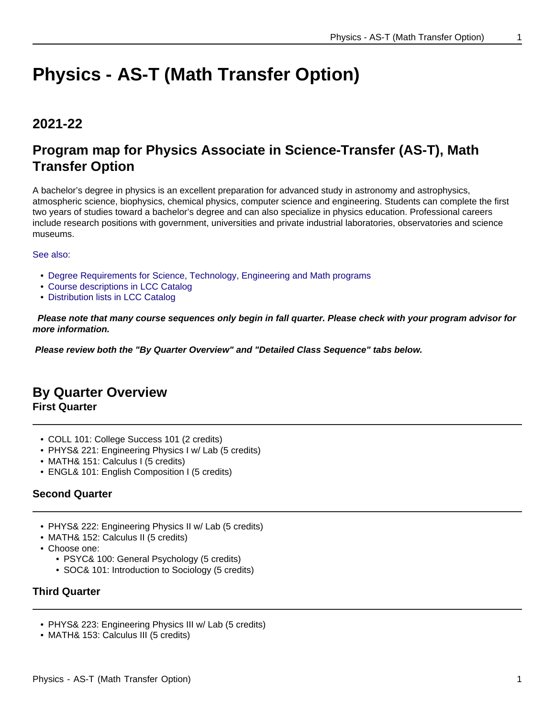# **Physics - AS-T (Math Transfer Option)**

# **2021-22**

# **Program map for Physics Associate in Science-Transfer (AS-T), Math Transfer Option**

A bachelor's degree in physics is an excellent preparation for advanced study in astronomy and astrophysics, atmospheric science, biophysics, chemical physics, computer science and engineering. Students can complete the first two years of studies toward a bachelor's degree and can also specialize in physics education. Professional careers include research positions with government, universities and private industrial laboratories, observatories and science museums.

See also:

- Degree Requirements for Science, Technology, Engineering and Math programs
- Course descriptions in LCC Catalog
- Distribution lists in LCC Catalog

 **Please note that many course sequences only begin in fall quarter. Please check with your program advisor for more information.**

**Please review both the "By Quarter Overview" and "Detailed Class Sequence" tabs below.**

# **By Quarter Overview**

**First Quarter**

- COLL 101: College Success 101 (2 credits)
- PHYS& 221: Engineering Physics I w/ Lab (5 credits)
- MATH& 151: Calculus I (5 credits)
- ENGL& 101: English Composition I (5 credits)

# **Second Quarter**

- PHYS& 222: Engineering Physics II w/ Lab (5 credits)
- MATH& 152: Calculus II (5 credits)
- Choose one:
	- PSYC& 100: General Psychology (5 credits)
	- SOC& 101: Introduction to Sociology (5 credits)

# **Third Quarter**

- PHYS& 223: Engineering Physics III w/ Lab (5 credits)
- MATH& 153: Calculus III (5 credits)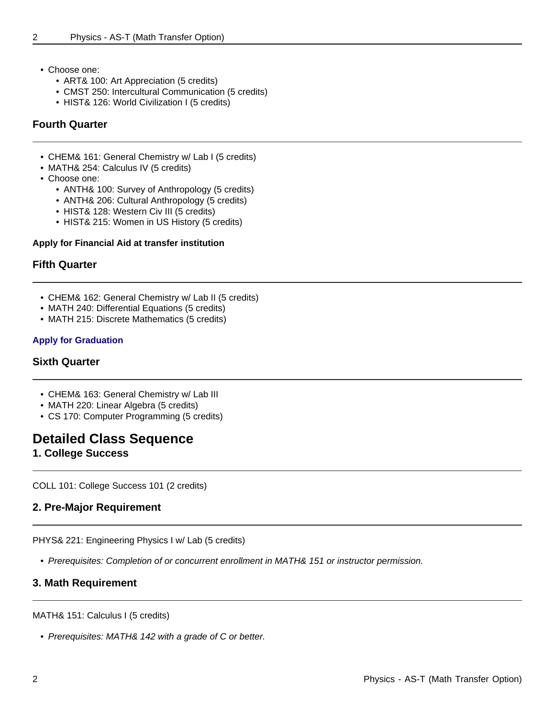- Choose one:
	- ART& 100: Art Appreciation (5 credits)
	- CMST 250: Intercultural Communication (5 credits)
	- HIST& 126: World Civilization I (5 credits)

#### **Fourth Quarter**

- CHEM& 161: General Chemistry w/ Lab I (5 credits)
- MATH& 254: Calculus IV (5 credits)
- Choose one:
	- ANTH& 100: Survey of Anthropology (5 credits)
	- ANTH& 206: Cultural Anthropology (5 credits)
	- HIST& 128: Western Civ III (5 credits)
	- HIST& 215: Women in US History (5 credits)

#### **Apply for Financial Aid at transfer institution**

#### **Fifth Quarter**

- CHEM& 162: General Chemistry w/ Lab II (5 credits)
- MATH 240: Differential Equations (5 credits)
- MATH 215: Discrete Mathematics (5 credits)

#### **Apply for Graduation**

#### **Sixth Quarter**

- CHEM& 163: General Chemistry w/ Lab III
- MATH 220: Linear Algebra (5 credits)
- CS 170: Computer Programming (5 credits)

# **Detailed Class Sequence**

**1. College Success**

COLL 101: College Success 101 (2 credits)

### **2. Pre-Major Requirement**

PHYS& 221: Engineering Physics I w/ Lab (5 credits)

• Prerequisites: Completion of or concurrent enrollment in MATH& 151 or instructor permission.

### **3. Math Requirement**

#### MATH& 151: Calculus I (5 credits)

• Prerequisites: MATH& 142 with a grade of C or better.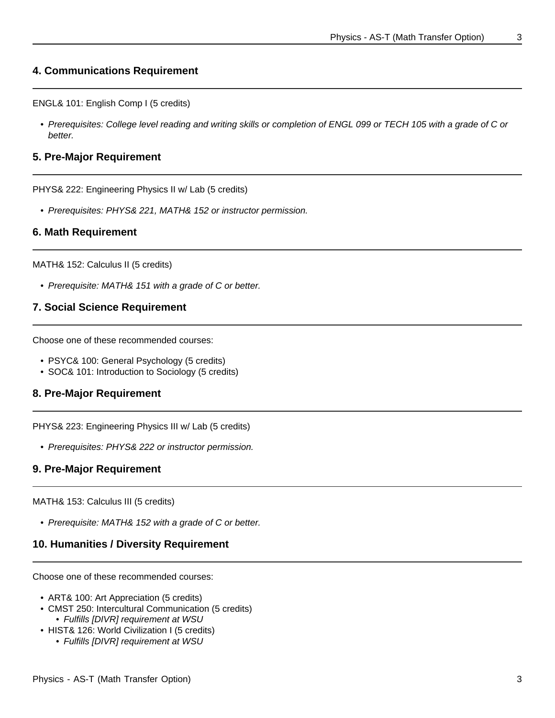# **4. Communications Requirement**

ENGL& 101: English Comp I (5 credits)

• Prerequisites: College level reading and writing skills or completion of ENGL 099 or TECH 105 with a grade of C or better.

#### **5. Pre-Major Requirement**

PHYS& 222: Engineering Physics II w/ Lab (5 credits)

• Prerequisites: PHYS& 221, MATH& 152 or instructor permission.

#### **6. Math Requirement**

MATH& 152: Calculus II (5 credits)

• Prerequisite: MATH& 151 with a grade of C or better.

#### **7. Social Science Requirement**

Choose one of these recommended courses:

- PSYC& 100: General Psychology (5 credits)
- SOC& 101: Introduction to Sociology (5 credits)

#### **8. Pre-Major Requirement**

PHYS& 223: Engineering Physics III w/ Lab (5 credits)

• Prerequisites: PHYS& 222 or instructor permission.

#### **9. Pre-Major Requirement**

MATH& 153: Calculus III (5 credits)

• Prerequisite: MATH& 152 with a grade of C or better.

#### **10. Humanities / Diversity Requirement**

Choose one of these recommended courses:

- ART& 100: Art Appreciation (5 credits)
- CMST 250: Intercultural Communication (5 credits) • Fulfills [DIVR] requirement at WSU
- HIST& 126: World Civilization I (5 credits)
	- Fulfills [DIVR] requirement at WSU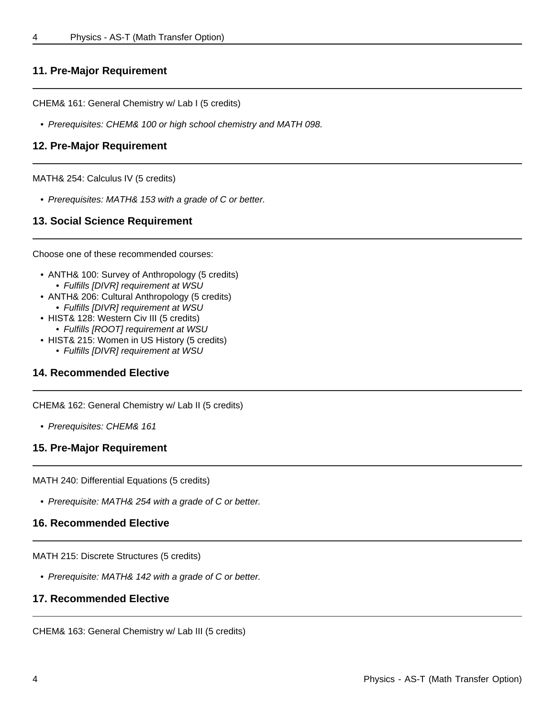# **11. Pre-Major Requirement**

CHEM& 161: General Chemistry w/ Lab I (5 credits)

• Prerequisites: CHEM& 100 or high school chemistry and MATH 098.

#### **12. Pre-Major Requirement**

MATH& 254: Calculus IV (5 credits)

• Prerequisites: MATH& 153 with a grade of C or better.

### **13. Social Science Requirement**

Choose one of these recommended courses:

- ANTH& 100: Survey of Anthropology (5 credits) • Fulfills [DIVR] requirement at WSU
- ANTH& 206: Cultural Anthropology (5 credits) • Fulfills [DIVR] requirement at WSU
- HIST& 128: Western Civ III (5 credits)
- Fulfills [ROOT] requirement at WSU
- HIST& 215: Women in US History (5 credits)
	- Fulfills [DIVR] requirement at WSU

### **14. Recommended Elective**

CHEM& 162: General Chemistry w/ Lab II (5 credits)

• Prerequisites: CHEM& 161

# **15. Pre-Major Requirement**

MATH 240: Differential Equations (5 credits)

• Prerequisite: MATH& 254 with a grade of C or better.

# **16. Recommended Elective**

MATH 215: Discrete Structures (5 credits)

• Prerequisite: MATH& 142 with a grade of C or better.

# **17. Recommended Elective**

CHEM& 163: General Chemistry w/ Lab III (5 credits)